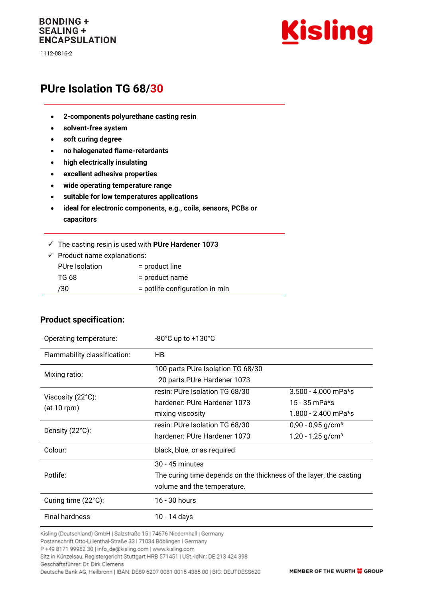#### **BONDING + SEALING + ENCAPSULATION**

1112-0816-2



# **PUre Isolation TG 68/30**

- **2-components polyurethane casting resin**
- **solvent-free system**
- **soft curing degree**

**Product specification:**

- **no halogenated flame-retardants**
- **high electrically insulating**
- **excellent adhesive properties**
- **wide operating temperature range**
- **suitable for low temperatures applications**
- **ideal for electronic components, e.g., coils, sensors, PCBs or capacitors**
- ✓ The casting resin is used with **PUre Hardener 1073**

| $\checkmark$ Product name explanations: |                                |  |
|-----------------------------------------|--------------------------------|--|
| <b>PUre Isolation</b>                   | = product line                 |  |
| TG 68                                   | = product name                 |  |
| 730                                     | = potlife configuration in min |  |

#### Operating temperature: -80°C up to +130°C Flammability classification: HB Mixing ratio: 100 parts PUre Isolation TG 68/30 20 parts PUre Hardener 1073 Viscosity (22°C): (at 10 rpm) resin: PUre Isolation TG 68/30 hardener: PUre Hardener 1073 mixing viscosity 3.500 - 4.000 mPa\*s 15 - 35 mPa\*s 1.800 - 2.400 mPa\*s Density (22°C): resin: PUre Isolation TG 68/30 hardener: PUre Hardener 1073  $0.90 - 0.95$  g/cm<sup>3</sup>  $1,20 - 1,25$  g/cm<sup>3</sup> Colour: black, blue, or as required Potlife: 30 - 45 minutes The curing time depends on the thickness of the layer, the casting volume and the temperature. Curing time (22°C): 16 - 30 hours Final hardness 10 - 14 days

Kisling (Deutschland) GmbH | Salzstraße 15 | 74676 Niedernhall | Germany

Postanschrift Otto-Lilienthal-Straße 33 | 71034 Böblingen | Germany

P +49 8171 99982 30 | info\_de@kisling.com | www.kisling.com

Sitz in Künzelsau, Registergericht Stuttgart HRB 571451 | USt.-IdNr.: DE 213 424 398

Geschäftsführer: Dr. Dirk Clemens

Deutsche Bank AG, Heilbronn | IBAN: DE89 6207 0081 0015 4385 00 | BIC: DEUTDESS620